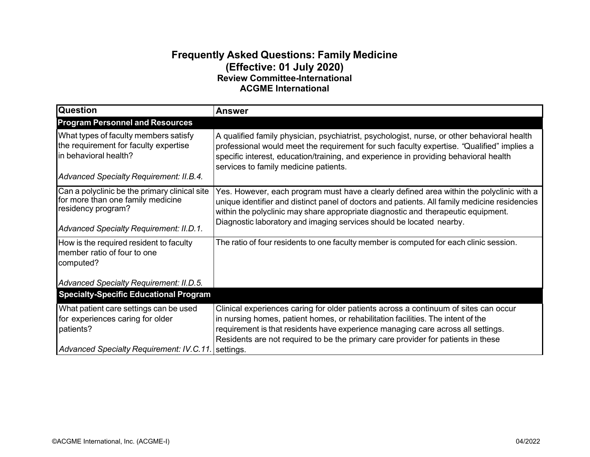## **Frequently Asked Questions: Family Medicine (Effective: 01 July 2020) Review Committee-International ACGME International**

| <b>Question</b>                                                                                                                                     | <b>Answer</b>                                                                                                                                                                                                                                                                                                                                                 |
|-----------------------------------------------------------------------------------------------------------------------------------------------------|---------------------------------------------------------------------------------------------------------------------------------------------------------------------------------------------------------------------------------------------------------------------------------------------------------------------------------------------------------------|
| <b>Program Personnel and Resources</b>                                                                                                              |                                                                                                                                                                                                                                                                                                                                                               |
| What types of faculty members satisfy<br>the requirement for faculty expertise<br>in behavioral health?<br>Advanced Specialty Requirement: II.B.4.  | A qualified family physician, psychiatrist, psychologist, nurse, or other behavioral health<br>professional would meet the requirement for such faculty expertise. "Qualified" implies a<br>specific interest, education/training, and experience in providing behavioral health<br>services to family medicine patients.                                     |
| Can a polyclinic be the primary clinical site<br>for more than one family medicine<br>residency program?<br>Advanced Specialty Requirement: II.D.1. | Yes. However, each program must have a clearly defined area within the polyclinic with a<br>unique identifier and distinct panel of doctors and patients. All family medicine residencies<br>within the polyclinic may share appropriate diagnostic and therapeutic equipment.<br>Diagnostic laboratory and imaging services should be located nearby.        |
| How is the required resident to faculty<br>member ratio of four to one<br>computed?                                                                 | The ratio of four residents to one faculty member is computed for each clinic session.                                                                                                                                                                                                                                                                        |
| Advanced Specialty Requirement: II.D.5.                                                                                                             |                                                                                                                                                                                                                                                                                                                                                               |
| <b>Specialty-Specific Educational Program</b>                                                                                                       |                                                                                                                                                                                                                                                                                                                                                               |
| What patient care settings can be used<br>for experiences caring for older<br>patients?<br>Advanced Specialty Requirement: IV.C.11.                 | Clinical experiences caring for older patients across a continuum of sites can occur<br>in nursing homes, patient homes, or rehabilitation facilities. The intent of the<br>requirement is that residents have experience managing care across all settings.<br>Residents are not required to be the primary care provider for patients in these<br>settings. |